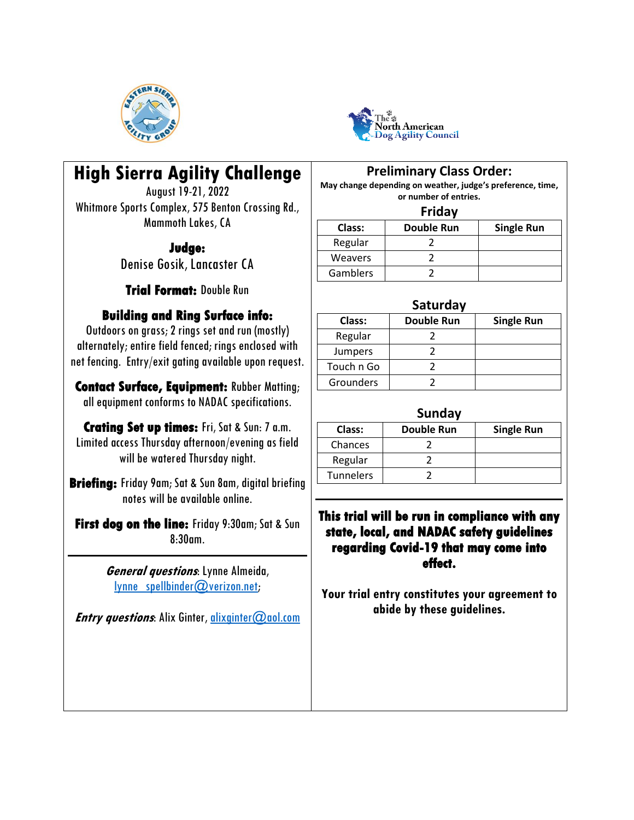



# **High Sierra Agility Challenge**

August 19-21, 2022 Whitmore Sports Complex, 575 Benton Crossing Rd., Mammoth Lakes, CA

### **Judge:**

Denise Gosik, Lancaster CA

**Trial Format:** Double Run

## **Building and Ring Surface info:**

Outdoors on grass; 2 rings set and run (mostly) alternately; entire field fenced; rings enclosed with net fencing. Entry/exit gating available upon request.

**Contact Surface, Equipment:** Rubber Matting; all equipment conforms to NADAC specifications.

**Crating Set up times:** Fri, Sat & Sun: 7 a.m. Limited access Thursday afternoon/evening as field will be watered Thursday night.

**Briefing:** Friday 9am; Sat & Sun 8am, digital briefing notes will be available online.

**First dog on the line:** Friday 9:30am; Sat & Sun 8:30am.

> **General questions**: Lynne Almeida,  $lynne$  spellbinder $@$ verizon.net;

**Entry questions:** Alix Ginter, [alixginter@aol.com](mailto:alixginter@aol.com)

### **Preliminary Class Order:**

**May change depending on weather, judge's preference, time, or number of entries.**

#### **Friday**

| Class:   | <b>Double Run</b> | <b>Single Run</b> |
|----------|-------------------|-------------------|
| Regular  |                   |                   |
| Weavers  |                   |                   |
| Gamblers |                   |                   |

#### **Saturday**

| Class:         | <b>Double Run</b> | <b>Single Run</b> |
|----------------|-------------------|-------------------|
| Regular        |                   |                   |
| <b>Jumpers</b> |                   |                   |
| Touch n Go     |                   |                   |
| Grounders      |                   |                   |

#### **Sunday**

| Class:    | <b>Double Run</b> | <b>Single Run</b> |  |  |  |
|-----------|-------------------|-------------------|--|--|--|
| Chances   |                   |                   |  |  |  |
| Regular   |                   |                   |  |  |  |
| Tunnelers |                   |                   |  |  |  |
|           |                   |                   |  |  |  |

### **This trial will be run in compliance with any state, local, and NADAC safety guidelines regarding Covid-19 that may come into effect.**

**Your trial entry constitutes your agreement to abide by these guidelines.**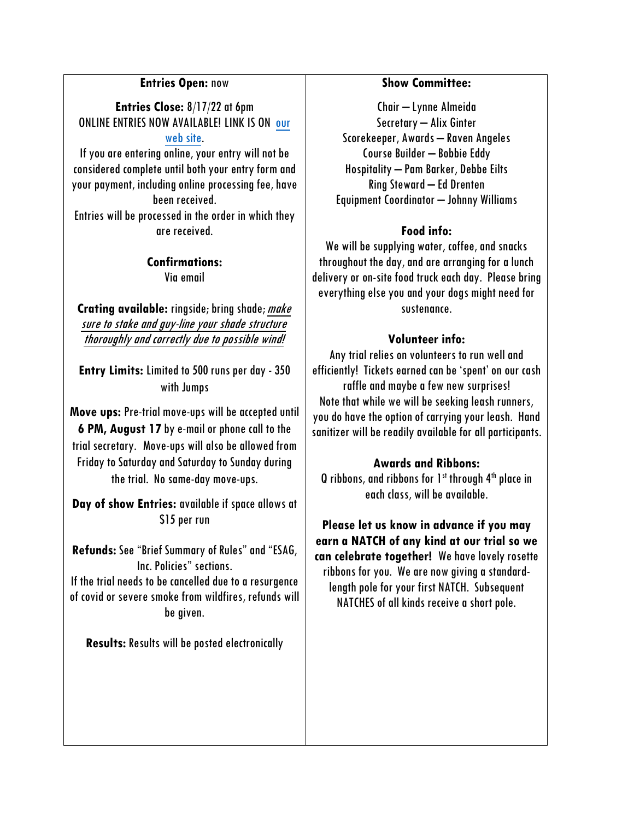#### **Entries Open:** now

**Entries Close:** 8/17/22 at 6pm ONLINE ENTRIES NOW AVAILABLE! LINK IS ON [our](http://www.esaginc.org/)  [web site.](http://www.esaginc.org/)

If you are entering online, your entry will not be considered complete until both your entry form and your payment, including online processing fee, have been received.

Entries will be processed in the order in which they are received.

#### **Confirmations:**  Via email

**Crating available:** ringside; bring shade; make sure to stake and guy-line your shade structure thoroughly and correctly due to possible wind!

**Entry Limits:** Limited to 500 runs per day - 350 with Jumps

**Move ups:** Pre-trial move-ups will be accepted until **6 PM, August 17** by e-mail or phone call to the trial secretary. Move-ups will also be allowed from Friday to Saturday and Saturday to Sunday during the trial. No same-day move-ups.

**Day of show Entries:** available if space allows at \$15 per run

**Refunds:** See "Brief Summary of Rules" and "ESAG, Inc. Policies" sections. If the trial needs to be cancelled due to a resurgence of covid or severe smoke from wildfires, refunds will be given.

**Results:** Results will be posted electronically

#### **Show Committee:**

Chair – Lynne Almeida Secretary – Alix Ginter Scorekeeper, Awards – Raven Angeles Course Builder – Bobbie Eddy Hospitality – Pam Barker, Debbe Eilts Ring Steward – Ed Drenten Equipment Coordinator – Johnny Williams

### **Food info:**

We will be supplying water, coffee, and snacks throughout the day, and are arranging for a lunch delivery or on-site food truck each day. Please bring everything else you and your dogs might need for sustenance.

#### **Volunteer info:**

Any trial relies on volunteers to run well and efficiently! Tickets earned can be 'spent' on our cash raffle and maybe a few new surprises! Note that while we will be seeking leash runners, you do have the option of carrying your leash. Hand sanitizer will be readily available for all participants.

#### **Awards and Ribbons:**

Q ribbons, and ribbons for  $1<sup>st</sup>$  through  $4<sup>th</sup>$  place in each class, will be available.

**Please let us know in advance if you may earn a NATCH of any kind at our trial so we can celebrate together!** We have lovely rosette ribbons for you. We are now giving a standardlength pole for your first NATCH. Subsequent NATCHES of all kinds receive a short pole.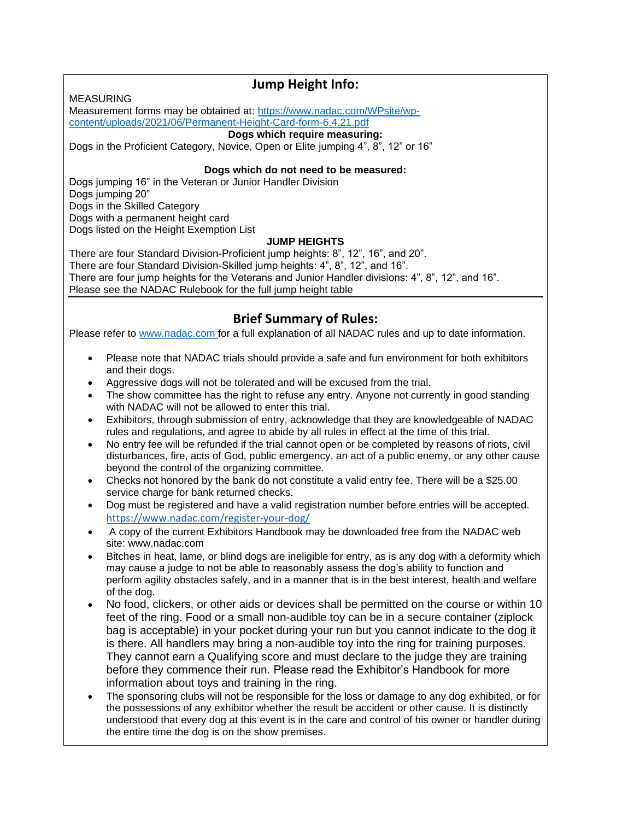MEASURING

### **Jump Height Info:**

Measurement forms may be obtained at: [https://www.nadac.com/WPsite/wp](https://www.nadac.com/WPsite/wp-content/uploads/2021/06/Permanent-Height-Card-form-6.4.21.pdf)[content/uploads/2021/06/Permanent-Height-Card-form-6.4.21.pdf](https://www.nadac.com/WPsite/wp-content/uploads/2021/06/Permanent-Height-Card-form-6.4.21.pdf)

#### **Dogs which require measuring:**

Dogs in the Proficient Category, Novice, Open or Elite jumping 4", 8", 12" or 16"

#### **Dogs which do not need to be measured:**

Dogs jumping 16" in the Veteran or Junior Handler Division Dogs jumping 20" Dogs in the Skilled Category Dogs with a permanent height card Dogs listed on the Height Exemption List

#### **JUMP HEIGHTS**

There are four Standard Division-Proficient jump heights: 8", 12", 16", and 20". There are four Standard Division-Skilled jump heights: 4", 8", 12", and 16". There are four jump heights for the Veterans and Junior Handler divisions: 4", 8", 12", and 16". Please see the NADAC Rulebook for the full jump height table

### **Brief Summary of Rules:**

Please refer to [www.nadac.com](http://www.nadac.com/) for a full explanation of all NADAC rules and up to date information.

- Please note that NADAC trials should provide a safe and fun environment for both exhibitors and their dogs.
- Aggressive dogs will not be tolerated and will be excused from the trial.
- The show committee has the right to refuse any entry. Anyone not currently in good standing with NADAC will not be allowed to enter this trial.
- Exhibitors, through submission of entry, acknowledge that they are knowledgeable of NADAC rules and regulations, and agree to abide by all rules in effect at the time of this trial.
- No entry fee will be refunded if the trial cannot open or be completed by reasons of riots, civil disturbances, fire, acts of God, public emergency, an act of a public enemy, or any other cause beyond the control of the organizing committee.
- Checks not honored by the bank do not constitute a valid entry fee. There will be a \$25.00 service charge for bank returned checks.
- Dog must be registered and have a valid registration number before entries will be accepted. <https://www.nadac.com/register-your-dog/>
- A copy of the current Exhibitors Handbook may be downloaded free from the NADAC web site: www.nadac.com
- Bitches in heat, lame, or blind dogs are ineligible for entry, as is any dog with a deformity which may cause a judge to not be able to reasonably assess the dog's ability to function and perform agility obstacles safely, and in a manner that is in the best interest, health and welfare of the dog.
- No food, clickers, or other aids or devices shall be permitted on the course or within 10 feet of the ring. Food or a small non-audible toy can be in a secure container (ziplock bag is acceptable) in your pocket during your run but you cannot indicate to the dog it is there. All handlers may bring a non-audible toy into the ring for training purposes. They cannot earn a Qualifying score and must declare to the judge they are training before they commence their run. Please read the Exhibitor's Handbook for more information about toys and training in the ring.
- The sponsoring clubs will not be responsible for the loss or damage to any dog exhibited, or for the possessions of any exhibitor whether the result be accident or other cause. It is distinctly understood that every dog at this event is in the care and control of his owner or handler during the entire time the dog is on the show premises.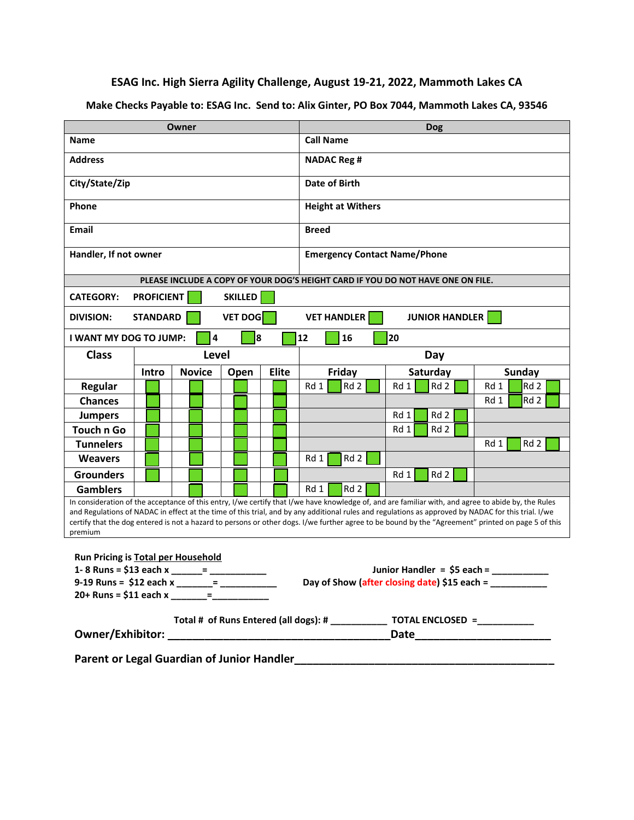**ESAG Inc. High Sierra Agility Challenge, August 19-21, 2022, Mammoth Lakes CA**

**Make Checks Payable to: ESAG Inc. Send to: Alix Ginter, PO Box 7044, Mammoth Lakes CA, 93546**

| Owner                                                                                                                                                                                                                                                                                                                                                                                                                                                                       |                   |               | <b>Dog</b>                                             |               |                          |        |                                                                                 |                         |
|-----------------------------------------------------------------------------------------------------------------------------------------------------------------------------------------------------------------------------------------------------------------------------------------------------------------------------------------------------------------------------------------------------------------------------------------------------------------------------|-------------------|---------------|--------------------------------------------------------|---------------|--------------------------|--------|---------------------------------------------------------------------------------|-------------------------|
| <b>Name</b>                                                                                                                                                                                                                                                                                                                                                                                                                                                                 |                   |               |                                                        |               | <b>Call Name</b>         |        |                                                                                 |                         |
| <b>Address</b>                                                                                                                                                                                                                                                                                                                                                                                                                                                              |                   |               |                                                        |               | <b>NADAC Reg #</b>       |        |                                                                                 |                         |
| City/State/Zip                                                                                                                                                                                                                                                                                                                                                                                                                                                              |                   |               |                                                        | Date of Birth |                          |        |                                                                                 |                         |
| Phone                                                                                                                                                                                                                                                                                                                                                                                                                                                                       |                   |               |                                                        |               | <b>Height at Withers</b> |        |                                                                                 |                         |
| Email                                                                                                                                                                                                                                                                                                                                                                                                                                                                       |                   |               |                                                        |               | <b>Breed</b>             |        |                                                                                 |                         |
| Handler, If not owner                                                                                                                                                                                                                                                                                                                                                                                                                                                       |                   |               | <b>Emergency Contact Name/Phone</b>                    |               |                          |        |                                                                                 |                         |
|                                                                                                                                                                                                                                                                                                                                                                                                                                                                             |                   |               |                                                        |               |                          |        | PLEASE INCLUDE A COPY OF YOUR DOG'S HEIGHT CARD IF YOU DO NOT HAVE ONE ON FILE. |                         |
| <b>CATEGORY:</b>                                                                                                                                                                                                                                                                                                                                                                                                                                                            | <b>PROFICIENT</b> |               | <b>SKILLED</b>                                         |               |                          |        |                                                                                 |                         |
| <b>DIVISION:</b>                                                                                                                                                                                                                                                                                                                                                                                                                                                            | <b>STANDARD</b>   |               | <b>VET DOG</b>                                         |               | <b>VET HANDLER</b>       |        | <b>JUNIOR HANDLER</b>                                                           |                         |
| I WANT MY DOG TO JUMP:                                                                                                                                                                                                                                                                                                                                                                                                                                                      |                   | 4             | 8                                                      |               | 12                       | 16     | 20                                                                              |                         |
| <b>Class</b>                                                                                                                                                                                                                                                                                                                                                                                                                                                                |                   | Level         |                                                        |               |                          | Day    |                                                                                 |                         |
|                                                                                                                                                                                                                                                                                                                                                                                                                                                                             | Intro             | <b>Novice</b> | Open                                                   | <b>Elite</b>  |                          | Friday | Saturday                                                                        | Sunday                  |
| Regular                                                                                                                                                                                                                                                                                                                                                                                                                                                                     |                   |               |                                                        |               | Rd 1                     | Rd 2   | Rd 2<br>Rd 1                                                                    | Rd <sub>2</sub><br>Rd 1 |
| <b>Chances</b>                                                                                                                                                                                                                                                                                                                                                                                                                                                              |                   |               |                                                        |               |                          |        |                                                                                 | Rd 2<br>Rd 1            |
| <b>Jumpers</b>                                                                                                                                                                                                                                                                                                                                                                                                                                                              |                   |               |                                                        |               |                          |        | Rd 2<br>Rd 1                                                                    |                         |
| <b>Touch n Go</b>                                                                                                                                                                                                                                                                                                                                                                                                                                                           |                   |               |                                                        |               |                          |        | Rd 2<br>Rd 1                                                                    |                         |
| <b>Tunnelers</b>                                                                                                                                                                                                                                                                                                                                                                                                                                                            |                   |               |                                                        |               |                          |        |                                                                                 | Rd <sub>2</sub><br>Rd 1 |
| <b>Weavers</b>                                                                                                                                                                                                                                                                                                                                                                                                                                                              |                   |               |                                                        |               | Rd 1                     | Rd 2   |                                                                                 |                         |
| <b>Grounders</b>                                                                                                                                                                                                                                                                                                                                                                                                                                                            |                   |               |                                                        |               |                          |        | Rd 2<br>Rd 1                                                                    |                         |
| <b>Gamblers</b>                                                                                                                                                                                                                                                                                                                                                                                                                                                             |                   |               |                                                        |               | Rd 1                     | Rd 2   |                                                                                 |                         |
| In consideration of the acceptance of this entry, I/we certify that I/we have knowledge of, and are familiar with, and agree to abide by, the Rules<br>and Regulations of NADAC in effect at the time of this trial, and by any additional rules and regulations as approved by NADAC for this trial. I/we<br>certify that the dog entered is not a hazard to persons or other dogs. I/we further agree to be bound by the "Agreement" printed on page 5 of this<br>premium |                   |               |                                                        |               |                          |        |                                                                                 |                         |
|                                                                                                                                                                                                                                                                                                                                                                                                                                                                             |                   |               |                                                        |               |                          |        |                                                                                 |                         |
| Run Pricing is Total per Household<br>1-8 Runs = \$13 each x<br>Junior Handler = $$5$ each =                                                                                                                                                                                                                                                                                                                                                                                |                   |               |                                                        |               |                          |        |                                                                                 |                         |
|                                                                                                                                                                                                                                                                                                                                                                                                                                                                             |                   |               | Day of Show (after closing date) \$15 each = _________ |               |                          |        |                                                                                 |                         |
|                                                                                                                                                                                                                                                                                                                                                                                                                                                                             |                   |               |                                                        |               |                          |        |                                                                                 |                         |
| Total # of Runs Entered (all dogs): # _______________ TOTAL ENCLOSED = __________                                                                                                                                                                                                                                                                                                                                                                                           |                   |               |                                                        |               |                          |        |                                                                                 |                         |
|                                                                                                                                                                                                                                                                                                                                                                                                                                                                             |                   |               |                                                        |               |                          |        |                                                                                 |                         |
|                                                                                                                                                                                                                                                                                                                                                                                                                                                                             |                   |               |                                                        |               |                          |        |                                                                                 |                         |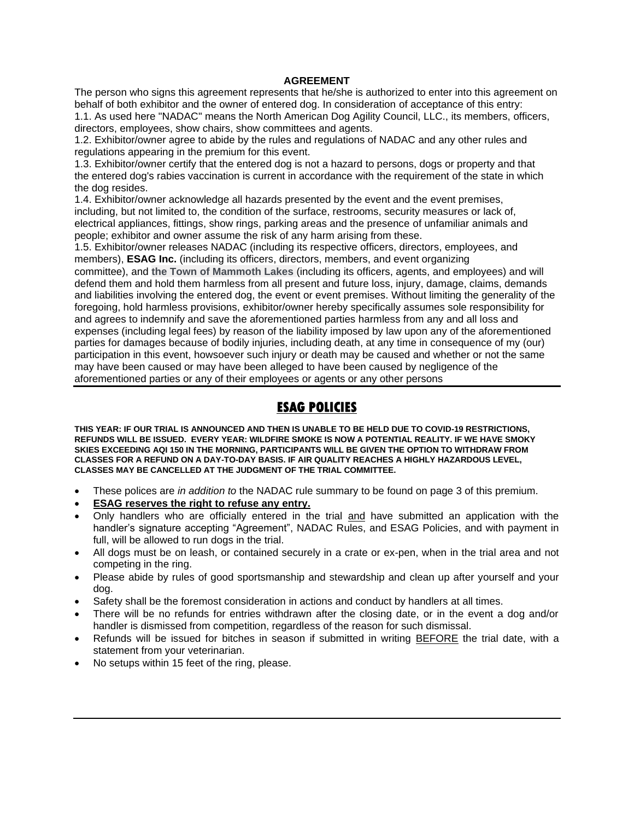#### **AGREEMENT**

The person who signs this agreement represents that he/she is authorized to enter into this agreement on behalf of both exhibitor and the owner of entered dog. In consideration of acceptance of this entry: 1.1. As used here "NADAC" means the North American Dog Agility Council, LLC., its members, officers, directors, employees, show chairs, show committees and agents.

1.2. Exhibitor/owner agree to abide by the rules and regulations of NADAC and any other rules and regulations appearing in the premium for this event.

1.3. Exhibitor/owner certify that the entered dog is not a hazard to persons, dogs or property and that the entered dog's rabies vaccination is current in accordance with the requirement of the state in which the dog resides.

1.4. Exhibitor/owner acknowledge all hazards presented by the event and the event premises, including, but not limited to, the condition of the surface, restrooms, security measures or lack of, electrical appliances, fittings, show rings, parking areas and the presence of unfamiliar animals and people; exhibitor and owner assume the risk of any harm arising from these.

1.5. Exhibitor/owner releases NADAC (including its respective officers, directors, employees, and members), **ESAG Inc.** (including its officers, directors, members, and event organizing committee), and **the Town of Mammoth Lakes** (including its officers, agents, and employees) and will defend them and hold them harmless from all present and future loss, injury, damage, claims, demands and liabilities involving the entered dog, the event or event premises. Without limiting the generality of the foregoing, hold harmless provisions, exhibitor/owner hereby specifically assumes sole responsibility for and agrees to indemnify and save the aforementioned parties harmless from any and all loss and expenses (including legal fees) by reason of the liability imposed by law upon any of the aforementioned parties for damages because of bodily injuries, including death, at any time in consequence of my (our) participation in this event, howsoever such injury or death may be caused and whether or not the same may have been caused or may have been alleged to have been caused by negligence of the aforementioned parties or any of their employees or agents or any other persons

### **ESAG POLICIES**

**THIS YEAR: IF OUR TRIAL IS ANNOUNCED AND THEN IS UNABLE TO BE HELD DUE TO COVID-19 RESTRICTIONS, REFUNDS WILL BE ISSUED. EVERY YEAR: WILDFIRE SMOKE IS NOW A POTENTIAL REALITY. IF WE HAVE SMOKY SKIES EXCEEDING AQI 150 IN THE MORNING, PARTICIPANTS WILL BE GIVEN THE OPTION TO WITHDRAW FROM CLASSES FOR A REFUND ON A DAY-TO-DAY BASIS. IF AIR QUALITY REACHES A HIGHLY HAZARDOUS LEVEL, CLASSES MAY BE CANCELLED AT THE JUDGMENT OF THE TRIAL COMMITTEE.**

- These polices are *in addition to* the NADAC rule summary to be found on page 3 of this premium.
- **ESAG reserves the right to refuse any entry.**
- Only handlers who are officially entered in the trial and have submitted an application with the handler's signature accepting "Agreement", NADAC Rules, and ESAG Policies, and with payment in full, will be allowed to run dogs in the trial.
- All dogs must be on leash, or contained securely in a crate or ex-pen, when in the trial area and not competing in the ring.
- Please abide by rules of good sportsmanship and stewardship and clean up after yourself and your dog.
- Safety shall be the foremost consideration in actions and conduct by handlers at all times.
- There will be no refunds for entries withdrawn after the closing date, or in the event a dog and/or handler is dismissed from competition, regardless of the reason for such dismissal.
- Refunds will be issued for bitches in season if submitted in writing BEFORE the trial date, with a statement from your veterinarian.
- No setups within 15 feet of the ring, please.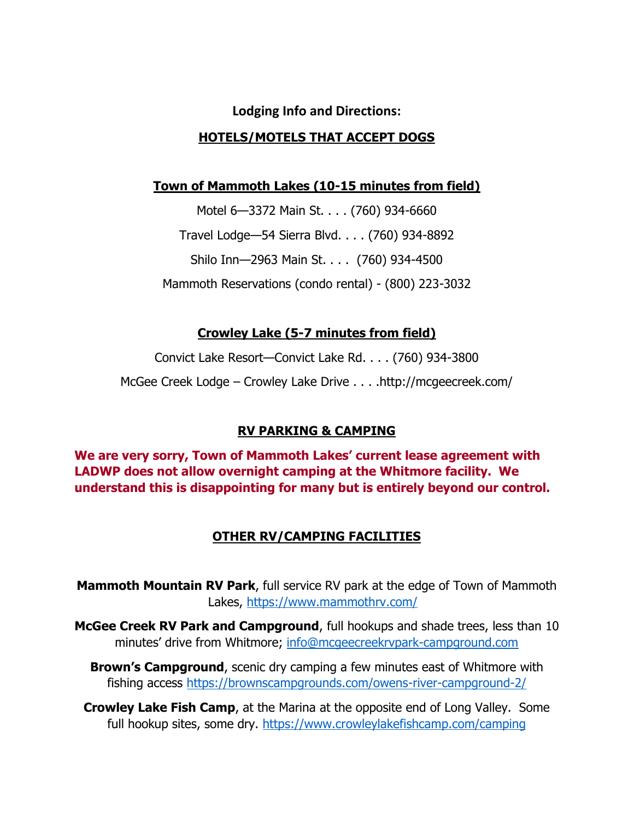# **Lodging Info and Directions: HOTELS/MOTELS THAT ACCEPT DOGS**

### **Town of Mammoth Lakes (10-15 minutes from field)**

Motel 6—3372 Main St. . . . (760) 934-6660 Travel Lodge—54 Sierra Blvd. . . . (760) 934-8892 Shilo Inn—2963 Main St. . . . (760) 934-4500 Mammoth Reservations (condo rental) - (800) 223-3032

### **Crowley Lake (5-7 minutes from field)**

Convict Lake Resort—Convict Lake Rd. . . . (760) 934-3800 McGee Creek Lodge – Crowley Lake Drive . . . .http://mcgeecreek.com/

# **RV PARKING & CAMPING**

**We are very sorry, Town of Mammoth Lakes' current lease agreement with LADWP does not allow overnight camping at the Whitmore facility. We understand this is disappointing for many but is entirely beyond our control.** 

# **OTHER RV/CAMPING FACILITIES**

**Mammoth Mountain RV Park**, full service RV park at the edge of Town of Mammoth Lakes,<https://www.mammothrv.com/>

**McGee Creek RV Park and Campground**, full hookups and shade trees, less than 10 minutes' drive from Whitmore; [info@mcgeecreekrvpark-campground.com](mailto:info@mcgeecreekrvpark-campground.com)

**Brown's Campground**, scenic dry camping a few minutes east of Whitmore with fishing access<https://brownscampgrounds.com/owens-river-campground-2/>

**Crowley Lake Fish Camp**, at the Marina at the opposite end of Long Valley. Some full hookup sites, some dry.<https://www.crowleylakefishcamp.com/camping>